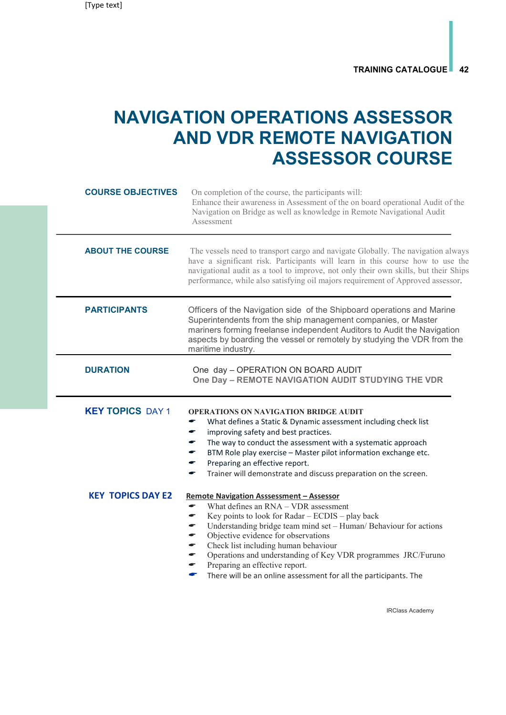## NAVIGATION OPERATIONS ASSESSOR AND VDR REMOTE NAVIGATION ASSESSOR COURSE

| <b>COURSE OBJECTIVES</b>                            | On completion of the course, the participants will:<br>Enhance their awareness in Assessment of the on board operational Audit of the<br>Navigation on Bridge as well as knowledge in Remote Navigational Audit<br>Assessment                                                                                                                                                                                                                                                                        |
|-----------------------------------------------------|------------------------------------------------------------------------------------------------------------------------------------------------------------------------------------------------------------------------------------------------------------------------------------------------------------------------------------------------------------------------------------------------------------------------------------------------------------------------------------------------------|
| <b>ABOUT THE COURSE</b>                             | The vessels need to transport cargo and navigate Globally. The navigation always<br>have a significant risk. Participants will learn in this course how to use the<br>navigational audit as a tool to improve, not only their own skills, but their Ships<br>performance, while also satisfying oil majors requirement of Approved assessor.                                                                                                                                                         |
| <b>PARTICIPANTS</b>                                 | Officers of the Navigation side of the Shipboard operations and Marine<br>Superintendents from the ship management companies, or Master<br>mariners forming freelanse independent Auditors to Audit the Navigation<br>aspects by boarding the vessel or remotely by studying the VDR from the<br>maritime industry.                                                                                                                                                                                  |
| <b>DURATION</b>                                     | One day - OPERATION ON BOARD AUDIT<br>One Day - REMOTE NAVIGATION AUDIT STUDYING THE VDR                                                                                                                                                                                                                                                                                                                                                                                                             |
| <b>KEY TOPICS DAY 1</b><br><b>KEY TOPICS DAY E2</b> | <b>OPERATIONS ON NAVIGATION BRIDGE AUDIT</b><br>What defines a Static & Dynamic assessment including check list<br>improving safety and best practices.<br>÷<br>The way to conduct the assessment with a systematic approach<br>BTM Role play exercise - Master pilot information exchange etc.<br>Preparing an effective report.<br>Trainer will demonstrate and discuss preparation on the screen.<br>÷<br><b>Remote Navigation Asssessment - Assessor</b><br>What defines an RNA - VDR assessment |
|                                                     | Key points to look for Radar - ECDIS - play back<br>Understanding bridge team mind set - Human/ Behaviour for actions<br>Objective evidence for observations<br>Check list including human behaviour<br>Operations and understanding of Key VDR programmes JRC/Furuno<br>Preparing an effective report.<br>There will be an online assessment for all the participants. The                                                                                                                          |

IRClass Academy